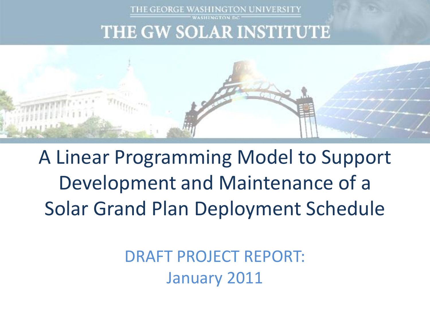

THE GEORGE WASHINGTON UNIVERSITY



A Linear Programming Model to Support Development and Maintenance of a Solar Grand Plan Deployment Schedule

> DRAFT PROJECT REPORT: January 2011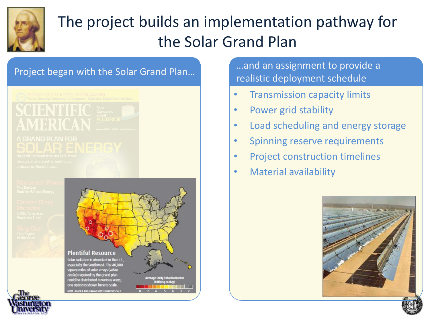

## The project builds an implementation pathway for the Solar Grand Plan





Project began with the Solar Grand Plan... **Example 2016** ...and an assignment to provide a realistic deployment schedule

- Transmission capacity limits
- Power grid stability
- Load scheduling and energy storage
- Spinning reserve requirements
- Project construction timelines
- Material availability

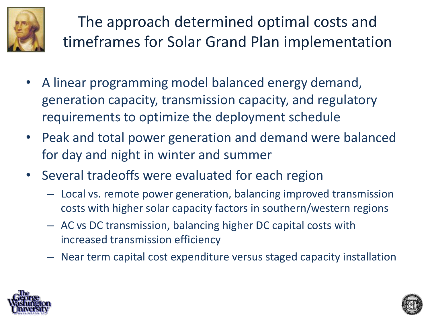

The approach determined optimal costs and timeframes for Solar Grand Plan implementation

- A linear programming model balanced energy demand, generation capacity, transmission capacity, and regulatory requirements to optimize the deployment schedule
- Peak and total power generation and demand were balanced for day and night in winter and summer
- Several tradeoffs were evaluated for each region
	- Local vs. remote power generation, balancing improved transmission costs with higher solar capacity factors in southern/western regions
	- AC vs DC transmission, balancing higher DC capital costs with increased transmission efficiency
	- Near term capital cost expenditure versus staged capacity installation



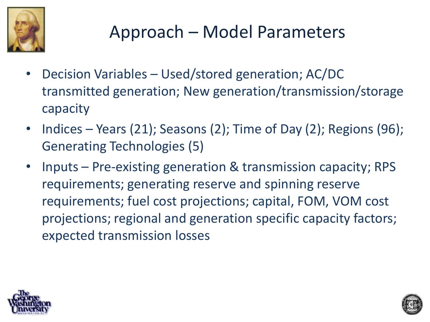

# Approach – Model Parameters

- Decision Variables Used/stored generation; AC/DC transmitted generation; New generation/transmission/storage capacity
- Indices Years (21); Seasons (2); Time of Day (2); Regions (96); Generating Technologies (5)
- Inputs Pre-existing generation & transmission capacity; RPS requirements; generating reserve and spinning reserve requirements; fuel cost projections; capital, FOM, VOM cost projections; regional and generation specific capacity factors; expected transmission losses



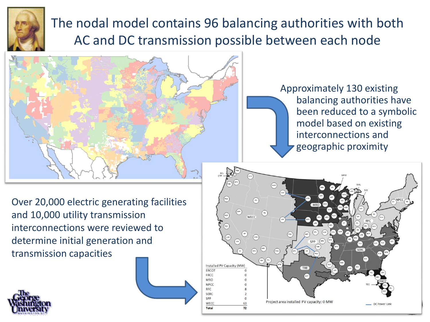

## The nodal model contains 96 balancing authorities with both AC and DC transmission possible between each node



Approximately 130 existing balancing authorities have been reduced to a symbolic model based on existing interconnections and geographic proximity

Over 20,000 electric generating facilities and 10,000 utility transmission interconnections were reviewed to determine initial generation and transmission capacities



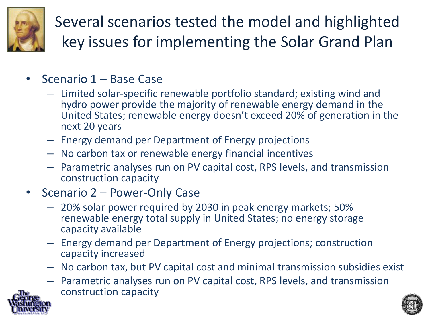

Several scenarios tested the model and highlighted key issues for implementing the Solar Grand Plan

- Scenario 1 Base Case
	- Limited solar-specific renewable portfolio standard; existing wind and hydro power provide the majority of renewable energy demand in the United States; renewable energy doesn't exceed 20% of generation in the next 20 years
	- Energy demand per Department of Energy projections
	- No carbon tax or renewable energy financial incentives
	- Parametric analyses run on PV capital cost, RPS levels, and transmission construction capacity
- Scenario 2 Power-Only Case
	- 20% solar power required by 2030 in peak energy markets; 50% renewable energy total supply in United States; no energy storage capacity available
	- Energy demand per Department of Energy projections; construction capacity increased
	- No carbon tax, but PV capital cost and minimal transmission subsidies exist
	- Parametric analyses run on PV capital cost, RPS levels, and transmission construction capacity



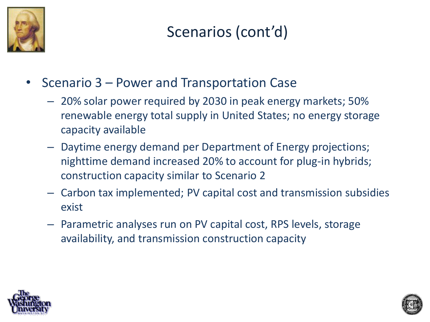

Scenarios (cont'd)

- Scenario 3 Power and Transportation Case
	- 20% solar power required by 2030 in peak energy markets; 50% renewable energy total supply in United States; no energy storage capacity available
	- Daytime energy demand per Department of Energy projections; nighttime demand increased 20% to account for plug-in hybrids; construction capacity similar to Scenario 2
	- Carbon tax implemented; PV capital cost and transmission subsidies exist
	- Parametric analyses run on PV capital cost, RPS levels, storage availability, and transmission construction capacity



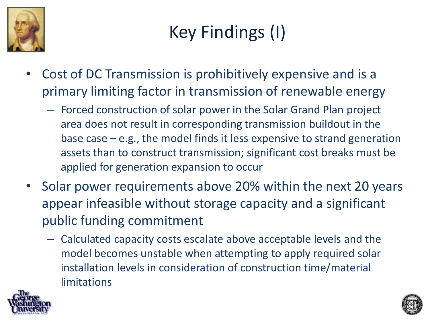

# Key Findings (I)

- Cost of DC Transmission is prohibitively expensive and is a primary limiting factor in transmission of renewable energy
	- Forced construction of solar power in the Solar Grand Plan project area does not result in corresponding transmission buildout in the base case – e.g., the model finds it less expensive to strand generation assets than to construct transmission; significant cost breaks must be applied for generation expansion to occur
- Solar power requirements above 20% within the next 20 years appear infeasible without storage capacity and a significant public funding commitment
	- Calculated capacity costs escalate above acceptable levels and the model becomes unstable when attempting to apply required solar installation levels in consideration of construction time/material limitations



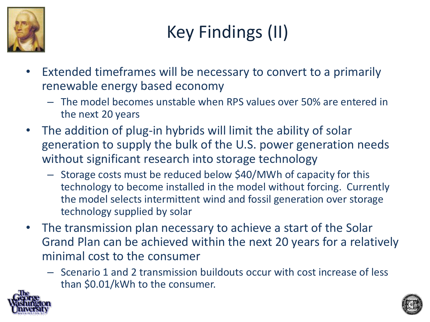

# Key Findings (II)

- Extended timeframes will be necessary to convert to a primarily renewable energy based economy
	- The model becomes unstable when RPS values over 50% are entered in the next 20 years
- The addition of plug-in hybrids will limit the ability of solar generation to supply the bulk of the U.S. power generation needs without significant research into storage technology
	- Storage costs must be reduced below \$40/MWh of capacity for this technology to become installed in the model without forcing. Currently the model selects intermittent wind and fossil generation over storage technology supplied by solar
- The transmission plan necessary to achieve a start of the Solar Grand Plan can be achieved within the next 20 years for a relatively minimal cost to the consumer
	- Scenario 1 and 2 transmission buildouts occur with cost increase of less than \$0.01/kWh to the consumer.



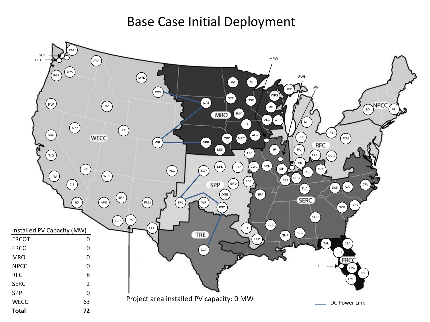Base Case Initial Deployment

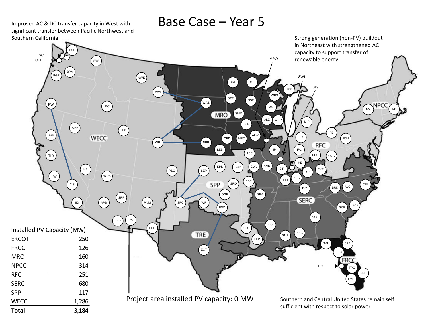Improved AC & DC transfer capacity in West with significant transfer between Pacific Northwest and Southern California

### Base Case – Year 5

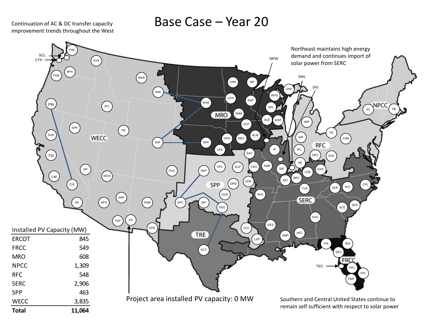Continuation of AC & DC transfer capacity improvement trends throughout the West

### Base Case – Year 20

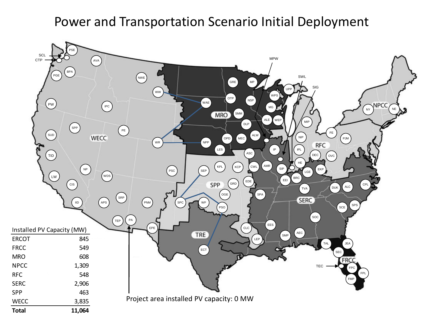## Power and Transportation Scenario Initial Deployment

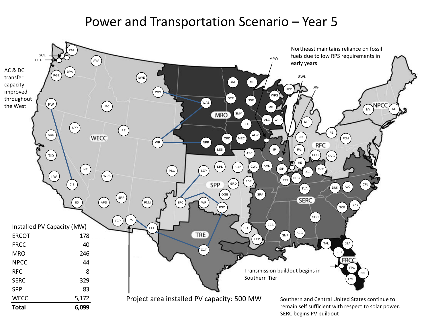## Power and Transportation Scenario – Year 5